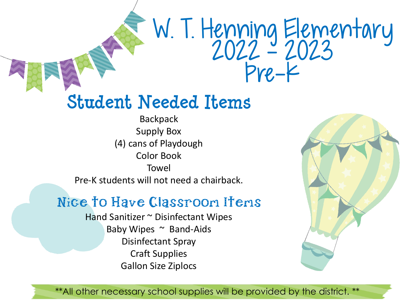# W. I. Henning Elementary 2022 - 2023 Pre-K

### **Student Needed Items**

Backpack Supply Box (4) cans of Playdough Color Book Towel Pre-K students will not need a chairback.

#### Nice to Have Classroom Items

Hand Sanitizer ~ Disinfectant Wipes Baby Wipes  $\sim$  Band-Aids Disinfectant Spray Craft Supplies Gallon Size Ziplocs

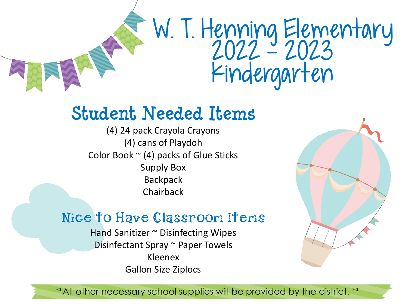# W. I. Henning Elementary 2022 - 2023 Kindergarten

### **Student Needed Items**

(4) 24 pack Crayola Crayons (4) cans of Playdoh Color Book  $\sim$  (4) packs of Glue Sticks Supply Box **Backpack** Chairback

#### Nice to Have Classroon Itens

Hand Sanitizer ~ Disinfecting Wipes Disinfectant Spray ~ Paper Towels Kleenex Gallon Size Ziplocs

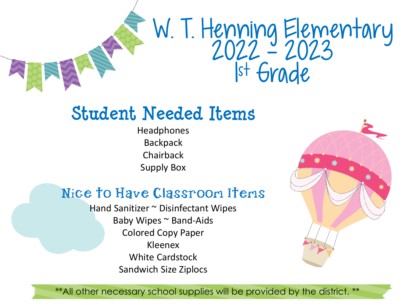

### **Student Needed Items**

Headphones **Backpack** Chairback Supply Box

#### Nice to Have Classroom Items

Hand Sanitizer ~ Disinfectant Wipes Baby Wipes ~ Band-Aids Colored Copy Paper Kleenex White Cardstock Sandwich Size Ziplocs

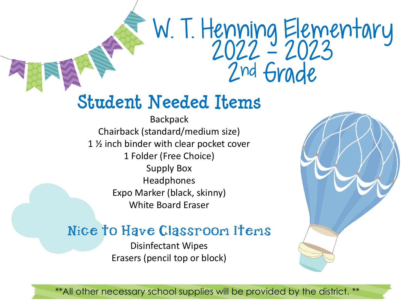# W. I. Henning Elementary 2022 - 2023 2nd Grade

### **Student Needed Items**

**Backpack** Chairback (standard/medium size) 1 ½ inch binder with clear pocket cover 1 Folder (Free Choice) Supply Box Headphones Expo Marker (black, skinny) White Board Eraser

#### Nice to Have Classroom Items

Disinfectant Wipes Erasers (pencil top or block)

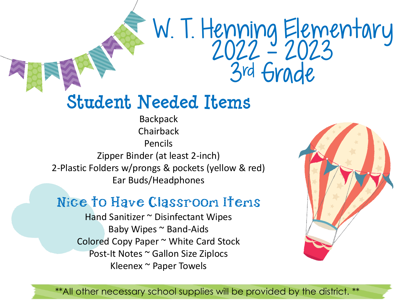# W. I. Henning Elementary 2022 - 2023 3rd Grade

### **Student Needed Items**

**Backpack** Chairback Pencils Zipper Binder (at least 2-inch) 2-Plastic Folders w/prongs & pockets (yellow & red) Ear Buds/Headphones

#### Nice to Have Classroon Itens

Hand Sanitizer ~ Disinfectant Wipes Baby Wipes ~ Band-Aids Colored Copy Paper ~ White Card Stock Post-It Notes ~ Gallon Size Ziplocs Kleenex ~ Paper Towels

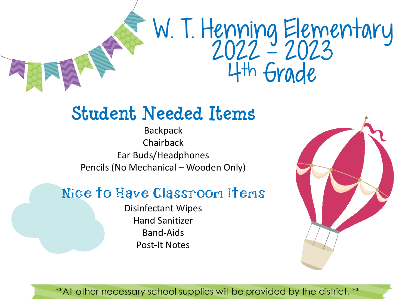

### **Student Needed Items**

Backpack Chairback Ear Buds/Headphones Pencils (No Mechanical – Wooden Only)

#### Nice to Have Classroom Items

Disinfectant Wipes Hand Sanitizer Band-Aids Post-It Notes